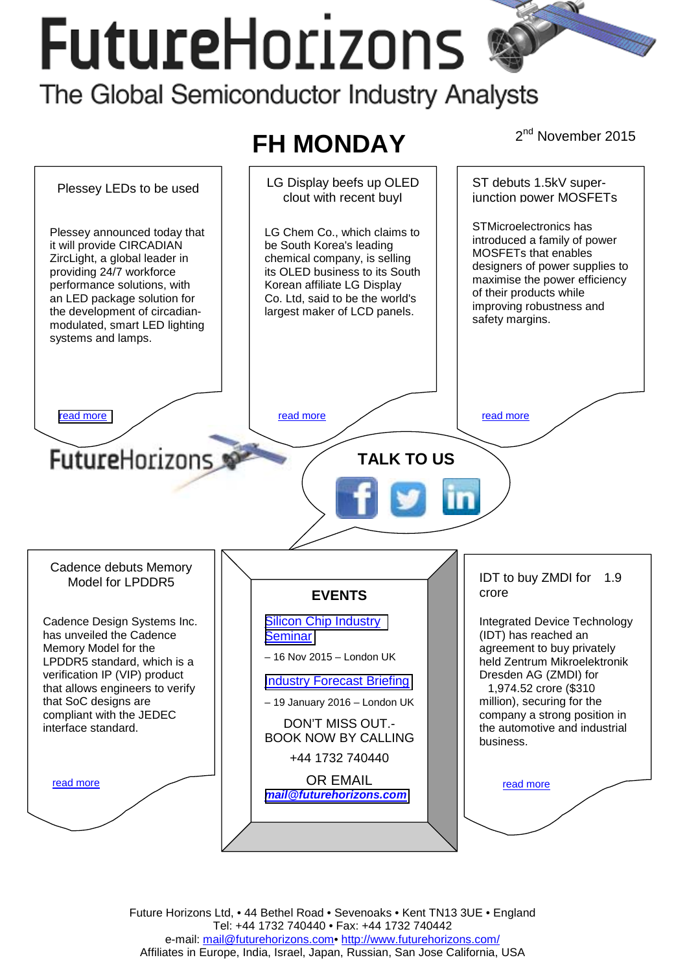# **FutureHorizons** The Global Semiconductor Industry Analysts



Future Horizons Ltd, • 44 Bethel Road • Sevenoaks • Kent TN13 3UE • England Tel: +44 1732 740440 • Fax: +44 1732 740442 e-mail: mail@futurehorizons.com• http://www.futurehorizons.com/ Affiliates in Europe, India, Israel, Japan, Russian, San Jose California, USA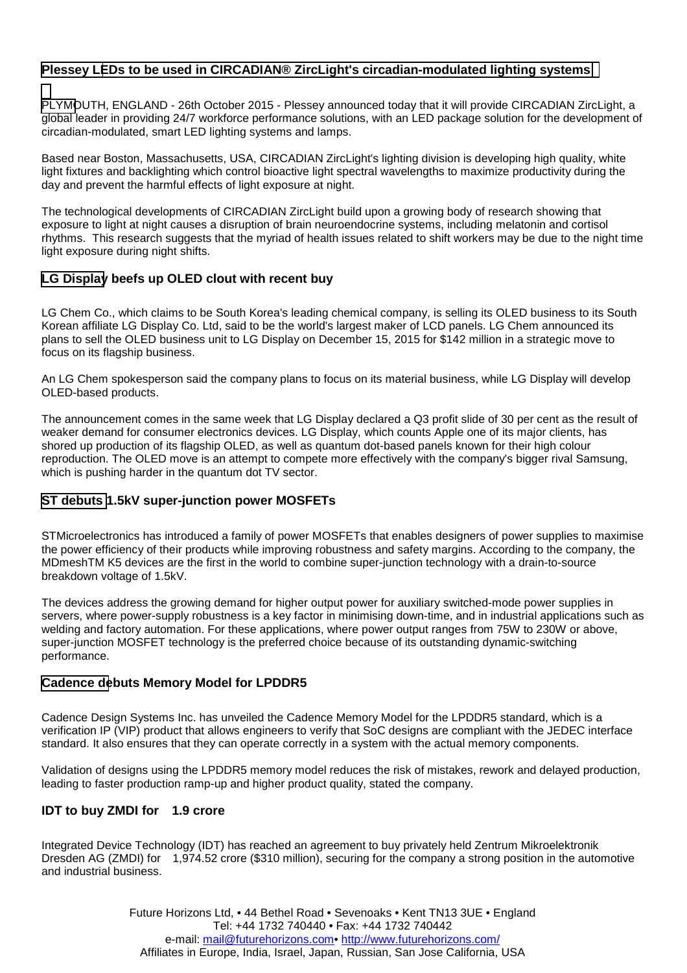## <span id="page-1-0"></span>**Plessey LEDs to be used in CIRCADIAN® ZircLight's circadian-modulated lighting systems**

PLYMOUTH, ENGLAND - 26th October 2015 - Plessey announced today that it will provide CIRCADIAN ZircLight, a global leader in providing 24/7 workforce performance solutions, with an LED package solution for the development of circadian-modulated, smart LED lighting systems and lamps.

Based near Boston, Massachusetts, USA, CIRCADIAN ZircLight's lighting division is developing high quality, white light fixtures and backlighting which control bioactive light spectral wavelengths to maximize productivity during the day and prevent the harmful effects of light exposure at night.

The technological developments of CIRCADIAN ZircLight build upon a growing body of research showing that exposure to light at night causes a disruption of brain neuroendocrine systems, including melatonin and cortisol rhythms. This research suggests that the myriad of health issues related to shift workers may be due to the night time light exposure during night shifts.

### **LG Display beefs up OLED clout with recent buy**

LG Chem Co., which claims to be South Korea's leading chemical company, is selling its OLED business to its South Korean affiliate LG Display Co. Ltd, said to be the world's largest maker of LCD panels. LG Chem announced its plans to sell the OLED business unit to LG Display on December 15, 2015 for \$142 million in a strategic move to focus on its flagship business.

An LG Chem spokesperson said the company plans to focus on its material business, while LG Display will develop OLED-based products.

The announcement comes in the same week that LG Display declared a Q3 profit slide of 30 per cent as the result of weaker demand for consumer electronics devices. LG Display, which counts Apple one of its major clients, has shored up production of its flagship OLED, as well as quantum dot-based panels known for their high colour reproduction. The OLED move is an attempt to compete more effectively with the company's bigger rival Samsung, which is pushing harder in the quantum dot TV sector.

### **ST debuts 1.5kV super-junction power MOSFETs**

STMicroelectronics has introduced a family of power MOSFETs that enables designers of power supplies to maximise the power efficiency of their products while improving robustness and safety margins. According to the company, the MDmeshTM K5 devices are the first in the world to combine super-junction technology with a drain-to-source breakdown voltage of 1.5kV.

The devices address the growing demand for higher output power for auxiliary switched-mode power supplies in servers, where power-supply robustness is a key factor in minimising down-time, and in industrial applications such as welding and factory automation. For these applications, where power output ranges from 75W to 230W or above, super-junction MOSFET technology is the preferred choice because of its outstanding dynamic-switching performance.

#### **Cadence debuts Memory Model for LPDDR5**

Cadence Design Systems Inc. has unveiled the Cadence Memory Model for the LPDDR5 standard, which is a verification IP (VIP) product that allows engineers to verify that SoC designs are compliant with the JEDEC interface standard. It also ensures that they can operate correctly in a system with the actual memory components.

Validation of designs using the LPDDR5 memory model reduces the risk of mistakes, rework and delayed production, leading to faster production ramp-up and higher product quality, stated the company.

### **IDT to buy ZMDI for 1.9 crore**

Integrated Device Technology (IDT) has reached an agreement to buy privately held Zentrum Mikroelektronik Dresden AG (ZMDI) for 1,974.52 crore (\$310 million), securing for the company a strong position in the automotive and industrial business.